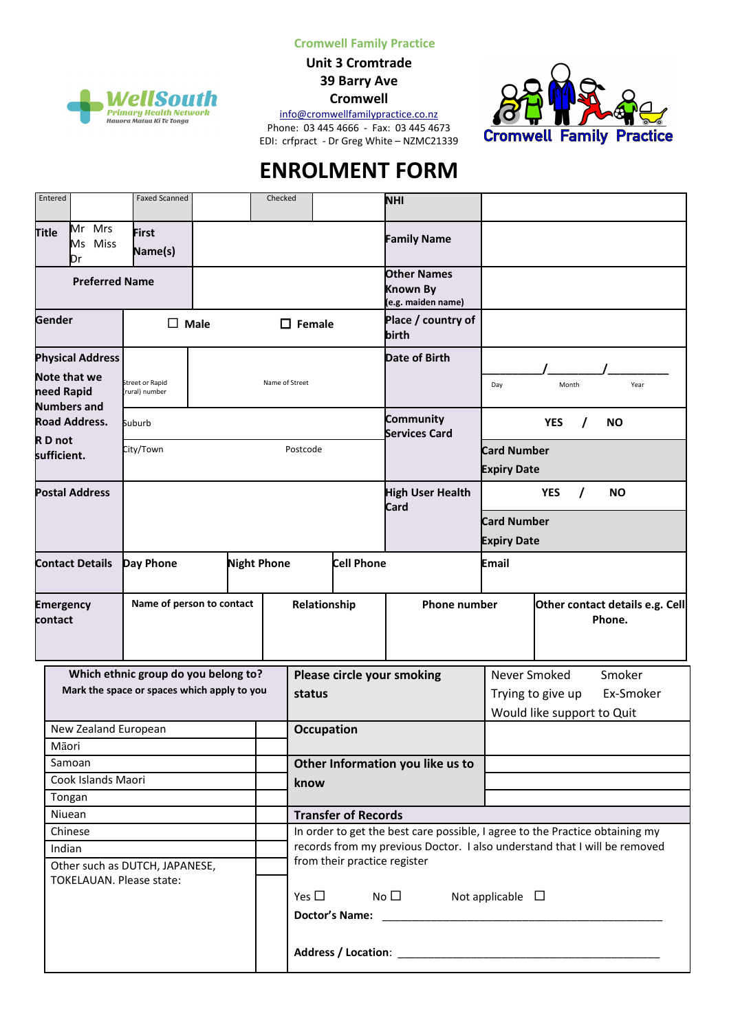**Cromwell Family Practice**

**Unit 3 Cromtrade 39 Barry Ave**

**Cromwell**

[info@cromwellfamilypractice.co.nz](mailto:info@cromwellfamilypractice.co.nz)





# **ENROLMENT FORM**

| Entered                                                             |              |                                                           | <b>Faxed Scanned</b>                 |  |                                                                              | Checked                                  |               |                                                              | <b>NHI</b>                               |                                           |            |           |           |
|---------------------------------------------------------------------|--------------|-----------------------------------------------------------|--------------------------------------|--|------------------------------------------------------------------------------|------------------------------------------|---------------|--------------------------------------------------------------|------------------------------------------|-------------------------------------------|------------|-----------|-----------|
| Title                                                               | Mr Mrs<br>Dr | Ms Miss                                                   | <b>First</b><br>Name(s)              |  |                                                                              |                                          |               |                                                              | <b>Family Name</b>                       |                                           |            |           |           |
| <b>Preferred Name</b>                                               |              |                                                           |                                      |  |                                                                              |                                          |               | <b>Other Names</b><br>Known By<br>(e.g. maiden name)         |                                          |                                           |            |           |           |
| Gender                                                              |              |                                                           | <b>Male</b><br>П                     |  |                                                                              |                                          | $\Box$ Female |                                                              | Place / country of<br>birth              |                                           |            |           |           |
| <b>Physical Address</b><br><b>Note that we</b><br>need Rapid        |              | Name of Street<br><b>Street or Rapid</b><br>rural) number |                                      |  |                                                                              |                                          |               | Date of Birth                                                | Day                                      | Month                                     |            | Year      |           |
| <b>Numbers and</b><br><b>Road Address.</b><br>RD not<br>sufficient. |              |                                                           | Suburb                               |  |                                                                              |                                          |               |                                                              | Community<br><b>Services Card</b>        |                                           | <b>YES</b> |           | <b>NO</b> |
|                                                                     |              |                                                           | City/Town                            |  |                                                                              | Postcode                                 |               |                                                              | <b>Card Number</b><br><b>Expiry Date</b> |                                           |            |           |           |
| <b>Postal Address</b>                                               |              |                                                           |                                      |  |                                                                              |                                          |               | <b>High User Health</b><br>Card                              |                                          | <b>YES</b>                                | $\prime$   | <b>NO</b> |           |
|                                                                     |              |                                                           |                                      |  |                                                                              |                                          |               |                                                              | <b>Card Number</b><br><b>Expiry Date</b> |                                           |            |           |           |
| <b>Contact Details</b>                                              |              |                                                           | <b>Night Phone</b><br>Day Phone      |  |                                                                              |                                          |               | <b>Cell Phone</b>                                            |                                          | Email                                     |            |           |           |
| <b>Emergency</b><br>contact                                         |              |                                                           | Name of person to contact            |  |                                                                              |                                          | Relationship  |                                                              | <b>Phone number</b>                      | Other contact details e.g. Cell<br>Phone. |            |           |           |
|                                                                     |              |                                                           | Which ethnic group do you belong to? |  |                                                                              |                                          |               |                                                              | Please circle your smoking               | Never Smoked                              |            |           | Smoker    |
| Mark the space or spaces which apply to you                         |              |                                                           |                                      |  | status                                                                       |                                          |               | Trying to give up<br>Ex-Smoker<br>Would like support to Quit |                                          |                                           |            |           |           |
| New Zealand European                                                |              |                                                           |                                      |  | <b>Occupation</b>                                                            |                                          |               |                                                              |                                          |                                           |            |           |           |
| Māori                                                               |              |                                                           |                                      |  |                                                                              |                                          |               |                                                              |                                          |                                           |            |           |           |
| Samoan                                                              |              |                                                           |                                      |  |                                                                              | Other Information you like us to<br>know |               |                                                              |                                          |                                           |            |           |           |
| Cook Islands Maori                                                  |              |                                                           |                                      |  |                                                                              |                                          |               |                                                              |                                          |                                           |            |           |           |
| Tongan<br>Niuean                                                    |              |                                                           |                                      |  | <b>Transfer of Records</b>                                                   |                                          |               |                                                              |                                          |                                           |            |           |           |
| Chinese                                                             |              |                                                           |                                      |  | In order to get the best care possible, I agree to the Practice obtaining my |                                          |               |                                                              |                                          |                                           |            |           |           |
| Indian                                                              |              |                                                           |                                      |  | records from my previous Doctor. I also understand that I will be removed    |                                          |               |                                                              |                                          |                                           |            |           |           |
| Other such as DUTCH, JAPANESE,<br>TOKELAUAN. Please state:          |              |                                                           |                                      |  | from their practice register                                                 |                                          |               |                                                              |                                          |                                           |            |           |           |
|                                                                     |              |                                                           |                                      |  | Yes $\square$<br>$No \Box$<br>Not applicable $\Box$                          |                                          |               |                                                              |                                          |                                           |            |           |           |
|                                                                     |              |                                                           |                                      |  | Address / Location: _                                                        |                                          |               |                                                              |                                          |                                           |            |           |           |

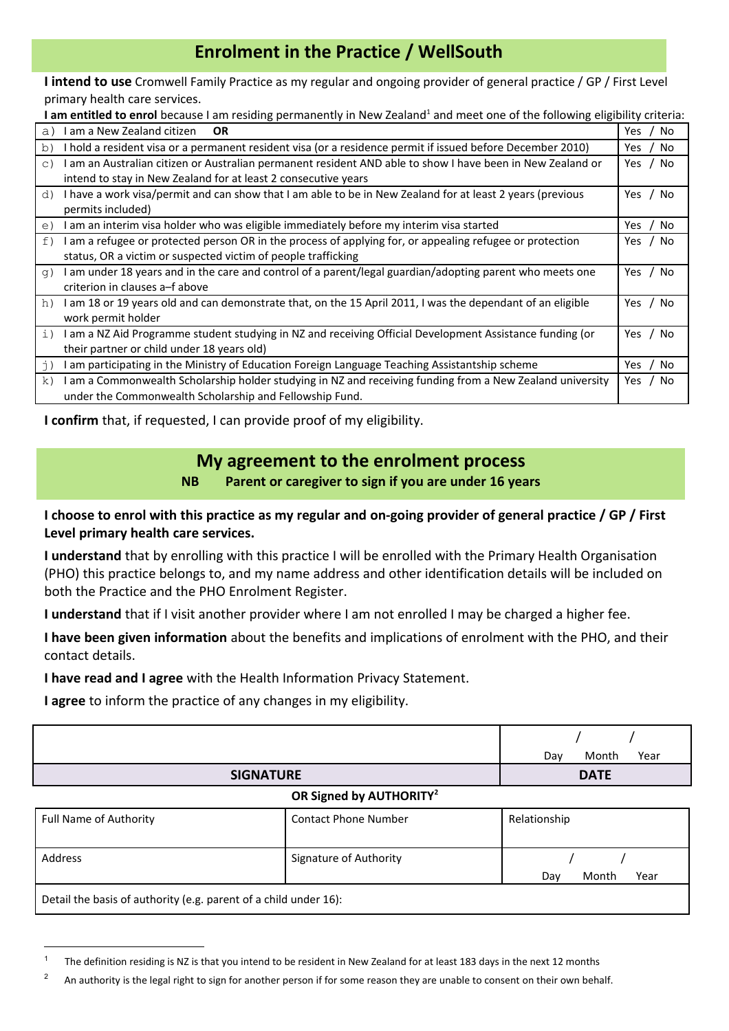## **Enrolment in the Practice / WellSouth**

**I intend to use** Cromwell Family Practice as my regular and ongoing provider of general practice / GP / First Level primary health care services.

I am entitled to enrol because I am residing permanently in New Zealand<sup>[1](#page-1-0)</sup> and meet one of the following eligibility criteria:

| l am a New Zealand citizen<br>OR.<br>a)                                                                    | Yes.<br>No |
|------------------------------------------------------------------------------------------------------------|------------|
| I hold a resident visa or a permanent resident visa (or a residence permit if issued before December 2010) | No.        |
| b)                                                                                                         | Yes.       |
| I am an Australian citizen or Australian permanent resident AND able to show I have been in New Zealand or | No.        |
| $\circ$ )                                                                                                  | Yes        |
| intend to stay in New Zealand for at least 2 consecutive years                                             |            |
| I have a work visa/permit and can show that I am able to be in New Zealand for at least 2 years (previous  | Yes        |
| d)                                                                                                         | No         |
| permits included)                                                                                          |            |
| I am an interim visa holder who was eligible immediately before my interim visa started                    | No         |
| e)                                                                                                         | Yes        |
| I am a refugee or protected person OR in the process of applying for, or appealing refugee or protection   | No.        |
| f)                                                                                                         | Yes        |
| status, OR a victim or suspected victim of people trafficking                                              |            |
| I am under 18 years and in the care and control of a parent/legal guardian/adopting parent who meets one   | No         |
| q)                                                                                                         | Yes.       |
| criterion in clauses a–f above                                                                             |            |
| I am 18 or 19 years old and can demonstrate that, on the 15 April 2011, I was the dependant of an eligible | No         |
| h)                                                                                                         | Yes.       |
| work permit holder                                                                                         |            |
| I am a NZ Aid Programme student studying in NZ and receiving Official Development Assistance funding (or   | No         |
| i)                                                                                                         | Yes.       |
| their partner or child under 18 years old)                                                                 |            |
| am participating in the Ministry of Education Foreign Language Teaching Assistantship scheme               | No.        |
| j)                                                                                                         | Yes        |
| I am a Commonwealth Scholarship holder studying in NZ and receiving funding from a New Zealand university  | No.        |
| k)                                                                                                         | Yes.       |
| under the Commonwealth Scholarship and Fellowship Fund.                                                    |            |

**I confirm** that, if requested, I can provide proof of my eligibility.

## **My agreement to the enrolment process**

**NB Parent or caregiver to sign if you are under 16 years**

**I choose to enrol with this practice as my regular and on-going provider of general practice / GP / First Level primary health care services.**

**I understand** that by enrolling with this practice I will be enrolled with the Primary Health Organisation (PHO) this practice belongs to, and my name address and other identification details will be included on both the Practice and the PHO Enrolment Register.

**I understand** that if I visit another provider where I am not enrolled I may be charged a higher fee.

**I have been given information** about the benefits and implications of enrolment with the PHO, and their contact details.

**I have read and I agree** with the Health Information Privacy Statement.

**I agree** to inform the practice of any changes in my eligibility.

|                                     | Month<br>Year<br>Dav |  |  |  |  |  |
|-------------------------------------|----------------------|--|--|--|--|--|
| <b>SIGNATURE</b>                    | <b>DATE</b>          |  |  |  |  |  |
| OR Signed by AUTHORITY <sup>2</sup> |                      |  |  |  |  |  |
|                                     |                      |  |  |  |  |  |

| Full Name of Authority                                           | <b>Contact Phone Number</b>   | Relationship         |  |  |  |  |  |  |
|------------------------------------------------------------------|-------------------------------|----------------------|--|--|--|--|--|--|
| Address                                                          | <b>Signature of Authority</b> | Month<br>Year<br>Dav |  |  |  |  |  |  |
| Detail the basis of authority (e.g. parent of a child under 16): |                               |                      |  |  |  |  |  |  |

<span id="page-1-0"></span><sup>1</sup> The definition residing is NZ is that you intend to be resident in New Zealand for at least 183 days in the next 12 months

<span id="page-1-1"></span><sup>&</sup>lt;sup>2</sup> An authority is the legal right to sign for another person if for some reason they are unable to consent on their own behalf.